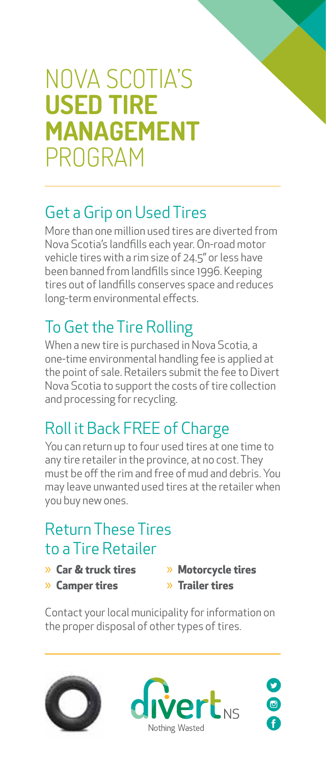# NOVA SCOTIA'S **USED TIRE MANAGEMENT**  PROGRAM

# Get a Grip on Used Tires

More than one million used tires are diverted from Nova Scotia's landfills each year. On-road motor vehicle tires with a rim size of 24.5" or less have been banned from landfills since 1996. Keeping tires out of landfills conserves space and reduces long-term environmental effects.

# To Get the Tire Rolling

When a new tire is purchased in Nova Scotia, a one-time environmental handling fee is applied at the point of sale. Retailers submit the fee to Divert Nova Scotia to support the costs of tire collection and processing for recycling.

# Roll it Back FREE of Charge

You can return up to four used tires at one time to any tire retailer in the province, at no cost. They must be off the rim and free of mud and debris. You may leave unwanted used tires at the retailer when you buy new ones.

#### Return These Tires to a Tire Retailer

- » **Car & truck tires**
- » **Camper tires**
- » **Motorcycle tires** » **Trailer tires**

Contact your local municipality for information on the proper disposal of other types of tires.